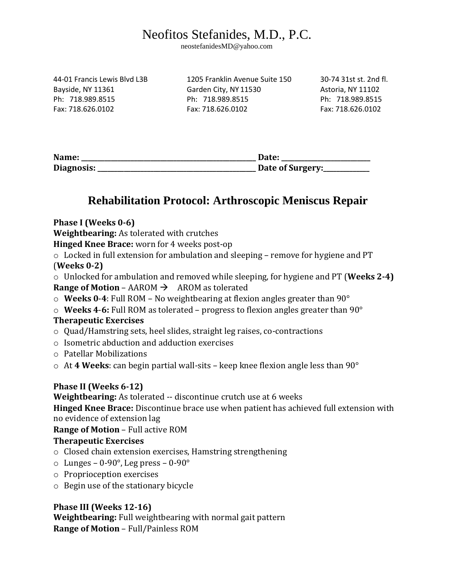# Neofitos Stefanides, M.D., P.C.

neostefanidesMD@yahoo.com

44-01 Francis Lewis Blvd L3B 1205 Franklin Avenue Suite 150 30-74 31st st. 2nd fl. Bayside, NY 11361 Garden City, NY 11530 Astoria, NY 11102 Ph: 718.989.8515 Ph: 718.989.8515 Ph: 718.989.8515 Fax: 718.626.0102 Fax: 718.626.0102 Fax: 718.626.0102

| Name:      | Date:            |
|------------|------------------|
| Diagnosis: | Date of Surgery: |

# **Rehabilitation Protocol: Arthroscopic Meniscus Repair**

**Phase I (Weeks 0-6)** 

**Weightbearing:** As tolerated with crutches

**Hinged Knee Brace:** worn for 4 weeks post-op

o Locked in full extension for ambulation and sleeping – remove for hygiene and PT (**Weeks 0-2)** 

o Unlocked for ambulation and removed while sleeping, for hygiene and PT (**Weeks 2-4) Range of Motion – AAROM**  $\rightarrow$  **AROM as tolerated** 

- o **Weeks 0**-**4**: Full ROM No weightbearing at flexion angles greater than 90°
- o **Weeks 4**-**6:** Full ROM as tolerated progress to flexion angles greater than 90°

#### **Therapeutic Exercises**

- o Quad/Hamstring sets, heel slides, straight leg raises, co-contractions
- o Isometric abduction and adduction exercises
- o Patellar Mobilizations
- o At **4 Weeks**: can begin partial wall-sits keep knee flexion angle less than 90°

## **Phase II (Weeks 6-12)**

**Weightbearing:** As tolerated -- discontinue crutch use at 6 weeks

**Hinged Knee Brace:** Discontinue brace use when patient has achieved full extension with no evidence of extension lag

## **Range of Motion** – Full active ROM

## **Therapeutic Exercises**

- o Closed chain extension exercises, Hamstring strengthening
- $\circ$  Lunges 0-90 $\circ$ , Leg press 0-90 $\circ$
- o Proprioception exercises
- o Begin use of the stationary bicycle

## **Phase III (Weeks 12-16)**

**Weightbearing:** Full weightbearing with normal gait pattern **Range of Motion** – Full/Painless ROM